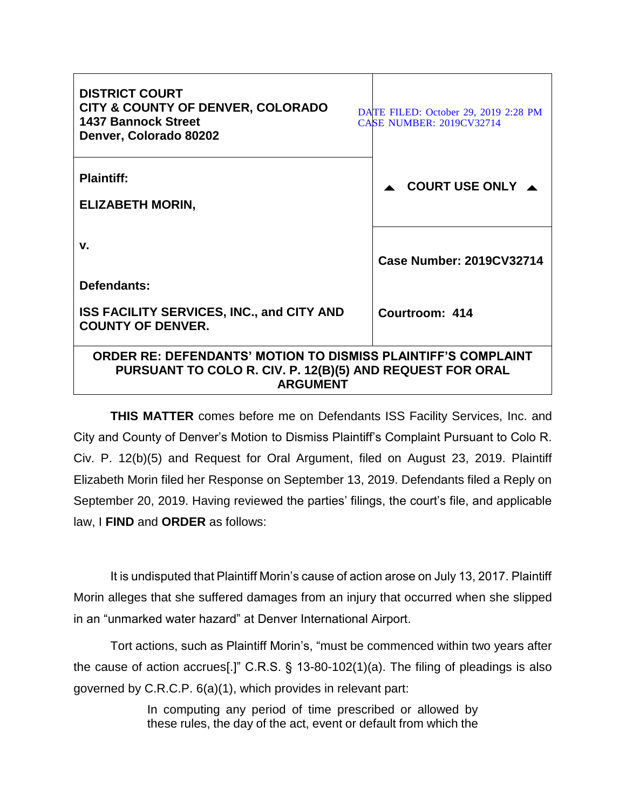| <b>DISTRICT COURT</b><br><b>CITY &amp; COUNTY OF DENVER, COLORADO</b><br><b>1437 Bannock Street</b><br>Denver, Colorado 80202                        | DATE FILED: October 29, 2019 2:28 PM<br><b>CASE NUMBER: 2019CV32714</b> |
|------------------------------------------------------------------------------------------------------------------------------------------------------|-------------------------------------------------------------------------|
| <b>Plaintiff:</b><br><b>ELIZABETH MORIN,</b>                                                                                                         | COURT USE ONLY $\triangle$                                              |
| v.<br>Defendants:                                                                                                                                    | <b>Case Number: 2019CV32714</b>                                         |
| <b>ISS FACILITY SERVICES, INC., and CITY AND</b><br><b>COUNTY OF DENVER.</b>                                                                         | Courtroom: 414                                                          |
| <b>ORDER RE: DEFENDANTS' MOTION TO DISMISS PLAINTIFF'S COMPLAINT</b><br>PURSUANT TO COLO R. CIV. P. 12(B)(5) AND REQUEST FOR ORAL<br><b>ARGUMENT</b> |                                                                         |

**THIS MATTER** comes before me on Defendants ISS Facility Services, Inc. and City and County of Denver's Motion to Dismiss Plaintiff's Complaint Pursuant to Colo R. Civ. P. 12(b)(5) and Request for Oral Argument, filed on August 23, 2019. Plaintiff Elizabeth Morin filed her Response on September 13, 2019. Defendants filed a Reply on September 20, 2019. Having reviewed the parties' filings, the court's file, and applicable law, I **FIND** and **ORDER** as follows:

It is undisputed that Plaintiff Morin's cause of action arose on July 13, 2017. Plaintiff Morin alleges that she suffered damages from an injury that occurred when she slipped in an "unmarked water hazard" at Denver International Airport.

Tort actions, such as Plaintiff Morin's, "must be commenced within two years after the cause of action accrues[.]" C.R.S. § 13-80-102(1)(a). The filing of pleadings is also governed by C.R.C.P. 6(a)(1), which provides in relevant part:

> In computing any period of time prescribed or allowed by these rules, the day of the act, event or default from which the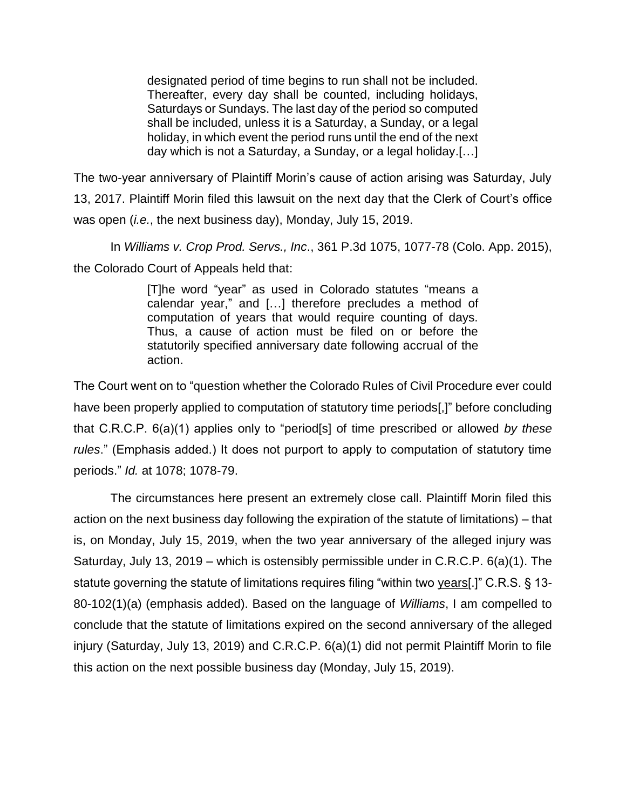designated period of time begins to run shall not be included. Thereafter, every day shall be counted, including holidays, Saturdays or Sundays. The last day of the period so computed shall be included, unless it is a Saturday, a Sunday, or a legal holiday, in which event the period runs until the end of the next day which is not a Saturday, a Sunday, or a legal holiday.[…]

The two-year anniversary of Plaintiff Morin's cause of action arising was Saturday, July 13, 2017. Plaintiff Morin filed this lawsuit on the next day that the Clerk of Court's office was open (*i.e.*, the next business day), Monday, July 15, 2019.

In *Williams v. Crop Prod. Servs., Inc*., 361 P.3d 1075, 1077-78 (Colo. App. 2015), the Colorado Court of Appeals held that:

> [T]he word "year" as used in Colorado statutes "means a calendar year," and […] therefore precludes a method of computation of years that would require counting of days. Thus, a cause of action must be filed on or before the statutorily specified anniversary date following accrual of the action.

The Court went on to "question whether the Colorado Rules of Civil Procedure ever could have been properly applied to computation of statutory time periods[,]" before concluding that C.R.C.P. 6(a)(1) applies only to "period[s] of time prescribed or allowed *by these rules*." (Emphasis added.) It does not purport to apply to computation of statutory time periods." *Id.* at 1078; 1078-79.

The circumstances here present an extremely close call. Plaintiff Morin filed this action on the next business day following the expiration of the statute of limitations) – that is, on Monday, July 15, 2019, when the two year anniversary of the alleged injury was Saturday, July 13, 2019 – which is ostensibly permissible under in C.R.C.P. 6(a)(1). The statute governing the statute of limitations requires filing "within two years[.]" C.R.S. § 13- 80-102(1)(a) (emphasis added). Based on the language of *Williams*, I am compelled to conclude that the statute of limitations expired on the second anniversary of the alleged injury (Saturday, July 13, 2019) and C.R.C.P. 6(a)(1) did not permit Plaintiff Morin to file this action on the next possible business day (Monday, July 15, 2019).